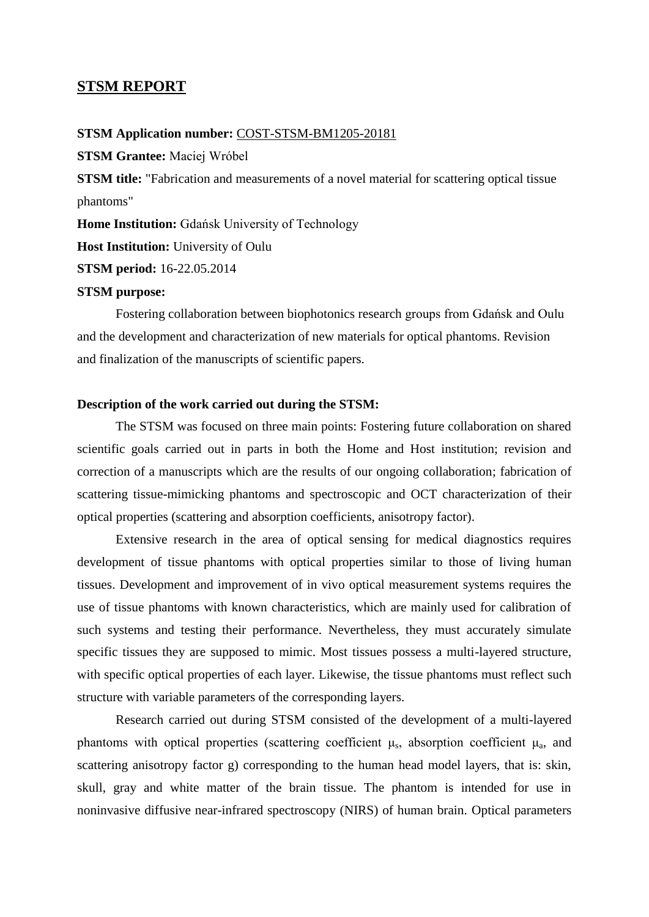## **STSM REPORT**

**STSM Application number:** COST-STSM-BM1205-20181

**STSM Grantee:** Maciej Wróbel

**STSM title:** "Fabrication and measurements of a novel material for scattering optical tissue phantoms"

**Home Institution:** Gdańsk University of Technology

**Host Institution:** University of Oulu

**STSM period:** 16-22.05.2014

### **STSM purpose:**

Fostering collaboration between biophotonics research groups from Gdańsk and Oulu and the development and characterization of new materials for optical phantoms. Revision and finalization of the manuscripts of scientific papers.

## **Description of the work carried out during the STSM:**

The STSM was focused on three main points: Fostering future collaboration on shared scientific goals carried out in parts in both the Home and Host institution; revision and correction of a manuscripts which are the results of our ongoing collaboration; fabrication of scattering tissue-mimicking phantoms and spectroscopic and OCT characterization of their optical properties (scattering and absorption coefficients, anisotropy factor).

Extensive research in the area of optical sensing for medical diagnostics requires development of tissue phantoms with optical properties similar to those of living human tissues. Development and improvement of in vivo optical measurement systems requires the use of tissue phantoms with known characteristics, which are mainly used for calibration of such systems and testing their performance. Nevertheless, they must accurately simulate specific tissues they are supposed to mimic. Most tissues possess a multi-layered structure, with specific optical properties of each layer. Likewise, the tissue phantoms must reflect such structure with variable parameters of the corresponding layers.

Research carried out during STSM consisted of the development of a multi-layered phantoms with optical properties (scattering coefficient  $\mu_s$ , absorption coefficient  $\mu_a$ , and scattering anisotropy factor g) corresponding to the human head model layers, that is: skin, skull, gray and white matter of the brain tissue. The phantom is intended for use in noninvasive diffusive near-infrared spectroscopy (NIRS) of human brain. Optical parameters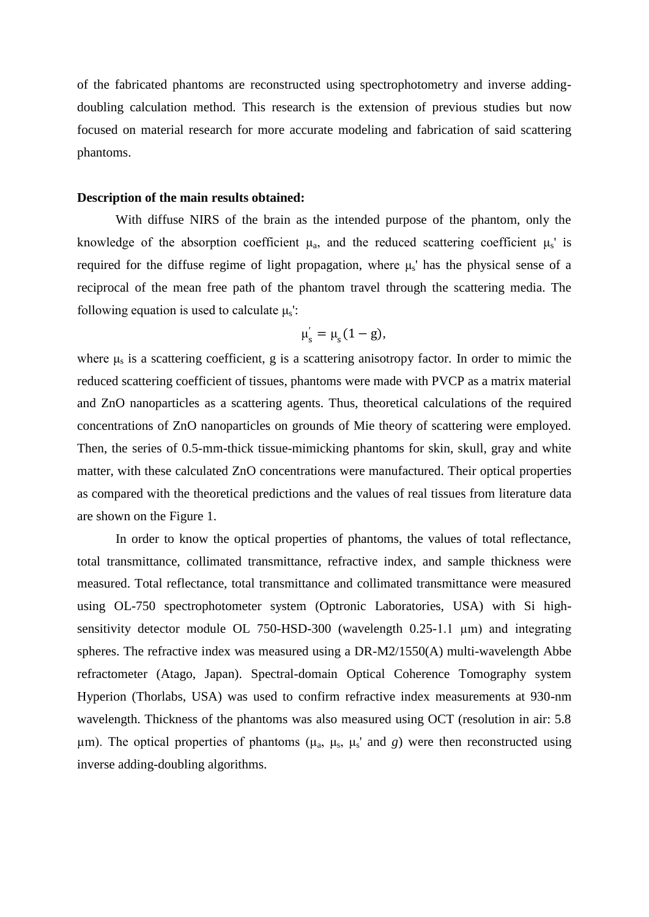of the fabricated phantoms are reconstructed using spectrophotometry and inverse addingdoubling calculation method. This research is the extension of previous studies but now focused on material research for more accurate modeling and fabrication of said scattering phantoms.

#### **Description of the main results obtained:**

With diffuse NIRS of the brain as the intended purpose of the phantom, only the knowledge of the absorption coefficient  $\mu_a$ , and the reduced scattering coefficient  $\mu_s$ ' is required for the diffuse regime of light propagation, where  $\mu_s$ ' has the physical sense of a reciprocal of the mean free path of the phantom travel through the scattering media. The following equation is used to calculate  $\mu_s$ :

$$
\mu_s^{'}=\mu_s(1-g),
$$

where  $\mu_s$  is a scattering coefficient, g is a scattering anisotropy factor. In order to mimic the reduced scattering coefficient of tissues, phantoms were made with PVCP as a matrix material and ZnO nanoparticles as a scattering agents. Thus, theoretical calculations of the required concentrations of ZnO nanoparticles on grounds of Mie theory of scattering were employed. Then, the series of 0.5-mm-thick tissue-mimicking phantoms for skin, skull, gray and white matter, with these calculated ZnO concentrations were manufactured. Their optical properties as compared with the theoretical predictions and the values of real tissues from literature data are shown on the Figure 1.

In order to know the optical properties of phantoms, the values of total reflectance, total transmittance, collimated transmittance, refractive index, and sample thickness were measured. Total reflectance, total transmittance and collimated transmittance were measured using OL-750 spectrophotometer system (Optronic Laboratories, USA) with Si highsensitivity detector module OL 750-HSD-300 (wavelength 0.25-1.1 µm) and integrating spheres. The refractive index was measured using a DR-M2/1550(A) multi-wavelength Abbe refractometer (Atago, Japan). Spectral-domain Optical Coherence Tomography system Hyperion (Thorlabs, USA) was used to confirm refractive index measurements at 930-nm wavelength. Thickness of the phantoms was also measured using OCT (resolution in air: 5.8 μm). The optical properties of phantoms ( $\mu_a$ ,  $\mu_s$ ,  $\mu_s'$  and *g*) were then reconstructed using inverse adding-doubling algorithms.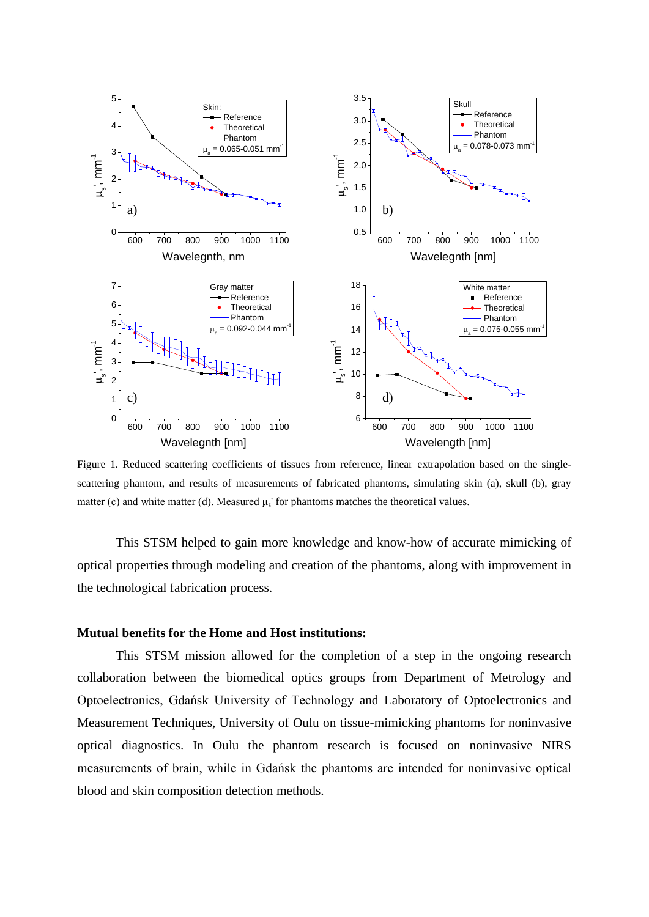

Figure 1. Reduced scattering coefficients of tissues from reference, linear extrapolation based on the singlescattering phantom, and results of measurements of fabricated phantoms, simulating skin (a), skull (b), gray matter (c) and white matter (d). Measured  $\mu$ <sub>s</sub>' for phantoms matches the theoretical values.

This STSM helped to gain more knowledge and know-how of accurate mimicking of optical properties through modeling and creation of the phantoms, along with improvement in the technological fabrication process.

#### **Mutual benefits for the Home and Host institutions:**

This STSM mission allowed for the completion of a step in the ongoing research collaboration between the biomedical optics groups from Department of Metrology and Optoelectronics, Gdańsk University of Technology and Laboratory of Optoelectronics and Measurement Techniques, University of Oulu on tissue-mimicking phantoms for noninvasive optical diagnostics. In Oulu the phantom research is focused on noninvasive NIRS measurements of brain, while in Gdańsk the phantoms are intended for noninvasive optical blood and skin composition detection methods.